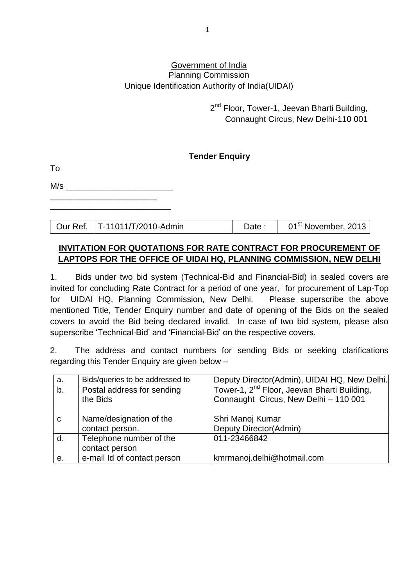#### Government of India Planning Commission Unique Identification Authority of India(UIDAI)

2<sup>nd</sup> Floor, Tower-1, Jeevan Bharti Building, Connaught Circus, New Delhi-110 001

## **Tender Enquiry**

| M/s |  |  |  |
|-----|--|--|--|
|     |  |  |  |

\_\_\_\_\_\_\_\_\_\_\_\_\_\_\_\_\_\_\_\_\_\_\_\_\_\_

To

Our Ref. | T-11011/T/2010-Admin | Date : | 01<sup>st</sup> November, 2013

## **INVITATION FOR QUOTATIONS FOR RATE CONTRACT FOR PROCUREMENT OF LAPTOPS FOR THE OFFICE OF UIDAI HQ, PLANNING COMMISSION, NEW DELHI**

1. Bids under two bid system (Technical-Bid and Financial-Bid) in sealed covers are invited for concluding Rate Contract for a period of one year, for procurement of Lap-Top for UIDAI HQ, Planning Commission, New Delhi. Please superscribe the above mentioned Title, Tender Enquiry number and date of opening of the Bids on the sealed covers to avoid the Bid being declared invalid. In case of two bid system, please also superscribe 'Technical-Bid' and 'Financial-Bid' on the respective covers.

2. The address and contact numbers for sending Bids or seeking clarifications regarding this Tender Enquiry are given below –

| a. | Bids/queries to be addressed to | Deputy Director(Admin), UIDAI HQ, New Delhi.            |
|----|---------------------------------|---------------------------------------------------------|
| b. | Postal address for sending      | Tower-1, 2 <sup>nd</sup> Floor, Jeevan Bharti Building, |
|    | the Bids                        | Connaught Circus, New Delhi - 110 001                   |
|    |                                 |                                                         |
| C  | Name/designation of the         | Shri Manoj Kumar                                        |
|    | contact person.                 | Deputy Director(Admin)                                  |
| d. | Telephone number of the         | 011-23466842                                            |
|    | contact person                  |                                                         |
| е. | e-mail Id of contact person     | kmrmanoj.delhi@hotmail.com                              |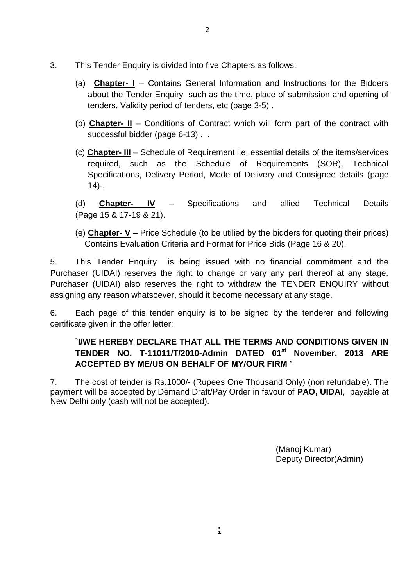- 3. This Tender Enquiry is divided into five Chapters as follows:
	- (a) **Chapter- I** Contains General Information and Instructions for the Bidders about the Tender Enquiry such as the time, place of submission and opening of tenders, Validity period of tenders, etc (page 3-5) .
	- (b) **Chapter- II** Conditions of Contract which will form part of the contract with successful bidder (page 6-13).
	- (c) **Chapter- III** Schedule of Requirement i.e. essential details of the items/services required, such as the Schedule of Requirements (SOR), Technical Specifications, Delivery Period, Mode of Delivery and Consignee details (page 14)-.
	- (d) **Chapter- IV** Specifications and allied Technical Details (Page 15 & 17-19 & 21).
	- (e) **Chapter- V** Price Schedule (to be utilied by the bidders for quoting their prices) Contains Evaluation Criteria and Format for Price Bids (Page 16 & 20).

5. This Tender Enquiry is being issued with no financial commitment and the Purchaser (UIDAI) reserves the right to change or vary any part thereof at any stage. Purchaser (UIDAI) also reserves the right to withdraw the TENDER ENQUIRY without assigning any reason whatsoever, should it become necessary at any stage.

6. Each page of this tender enquiry is to be signed by the tenderer and following certificate given in the offer letter:

## **`I/WE HEREBY DECLARE THAT ALL THE TERMS AND CONDITIONS GIVEN IN TENDER NO. T-11011/T/2010-Admin DATED 01st November, 2013 ARE ACCEPTED BY ME/US ON BEHALF OF MY/OUR FIRM '**

7. The cost of tender is Rs.1000/- (Rupees One Thousand Only) (non refundable). The payment will be accepted by Demand Draft/Pay Order in favour of **PAO, UIDAI**, payable at New Delhi only (cash will not be accepted).

> (Manoj Kumar) Deputy Director(Admin)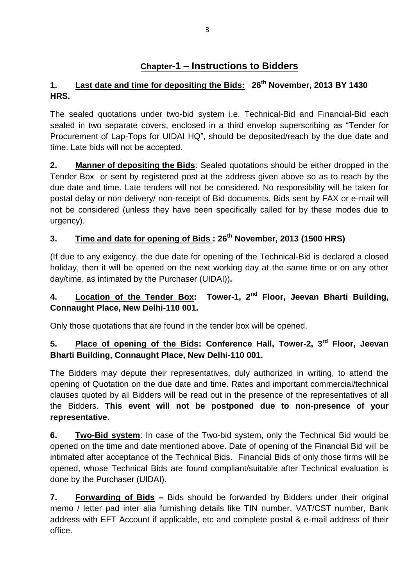# **Chapter-1 – Instructions to Bidders**

# **1. Last date and time for depositing the Bids: 26th November, 2013 BY 1430 HRS.**

The sealed quotations under two-bid system i.e. Technical-Bid and Financial-Bid each sealed in two separate covers, enclosed in a third envelop superscribing as "Tender for Procurement of Lap-Tops for UIDAI HQ", should be deposited/reach by the due date and time. Late bids will not be accepted.

**2. Manner of depositing the Bids**: Sealed quotations should be either dropped in the Tender Box or sent by registered post at the address given above so as to reach by the due date and time. Late tenders will not be considered. No responsibility will be taken for postal delay or non delivery/ non-receipt of Bid documents. Bids sent by FAX or e-mail will not be considered (unless they have been specifically called for by these modes due to urgency).

# **3. Time and date for opening of Bids : 26th November, 2013 (1500 HRS)**

(If due to any exigency, the due date for opening of the Technical-Bid is declared a closed holiday, then it will be opened on the next working day at the same time or on any other day/time, as intimated by the Purchaser (UIDAI))**.** 

# **4. Location of the Tender Box: Tower-1, 2nd Floor, Jeevan Bharti Building, Connaught Place, New Delhi-110 001.**

Only those quotations that are found in the tender box will be opened.

# **5. Place of opening of the Bids: Conference Hall, Tower-2, 3rd Floor, Jeevan Bharti Building, Connaught Place, New Delhi-110 001.**

The Bidders may depute their representatives, duly authorized in writing, to attend the opening of Quotation on the due date and time. Rates and important commercial/technical clauses quoted by all Bidders will be read out in the presence of the representatives of all the Bidders. **This event will not be postponed due to non-presence of your representative.**

**6. Two-Bid system**: In case of the Two-bid system, only the Technical Bid would be opened on the time and date mentioned above. Date of opening of the Financial Bid will be intimated after acceptance of the Technical Bids. Financial Bids of only those firms will be opened, whose Technical Bids are found compliant/suitable after Technical evaluation is done by the Purchaser (UIDAI).

**7. Forwarding of Bids –** Bids should be forwarded by Bidders under their original memo / letter pad inter alia furnishing details like TIN number, VAT/CST number, Bank address with EFT Account if applicable, etc and complete postal & e-mail address of their office.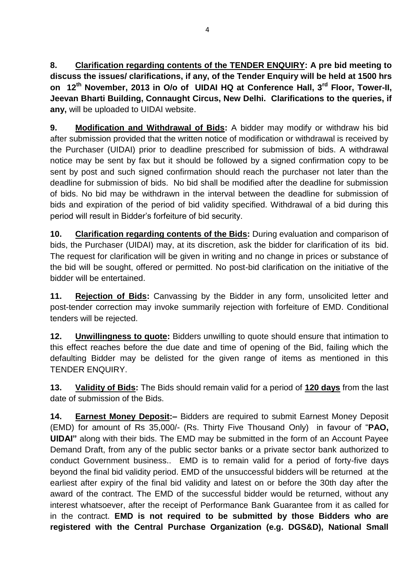**8. Clarification regarding contents of the TENDER ENQUIRY: A pre bid meeting to discuss the issues/ clarifications, if any, of the Tender Enquiry will be held at 1500 hrs on 12 th November, 2013 in O/o of UIDAI HQ at Conference Hall, 3rd Floor, Tower-II, Jeevan Bharti Building, Connaught Circus, New Delhi. Clarifications to the queries, if any,** will be uploaded to UIDAI website.

**9. Modification and Withdrawal of Bids:** A bidder may modify or withdraw his bid after submission provided that the written notice of modification or withdrawal is received by the Purchaser (UIDAI) prior to deadline prescribed for submission of bids. A withdrawal notice may be sent by fax but it should be followed by a signed confirmation copy to be sent by post and such signed confirmation should reach the purchaser not later than the deadline for submission of bids. No bid shall be modified after the deadline for submission of bids. No bid may be withdrawn in the interval between the deadline for submission of bids and expiration of the period of bid validity specified. Withdrawal of a bid during this period will result in Bidder's forfeiture of bid security.

**10. Clarification regarding contents of the Bids:** During evaluation and comparison of bids, the Purchaser (UIDAI) may, at its discretion, ask the bidder for clarification of its bid. The request for clarification will be given in writing and no change in prices or substance of the bid will be sought, offered or permitted. No post-bid clarification on the initiative of the bidder will be entertained.

**11. Rejection of Bids:** Canvassing by the Bidder in any form, unsolicited letter and post-tender correction may invoke summarily rejection with forfeiture of EMD. Conditional tenders will be rejected.

**12. Unwillingness to quote:** Bidders unwilling to quote should ensure that intimation to this effect reaches before the due date and time of opening of the Bid, failing which the defaulting Bidder may be delisted for the given range of items as mentioned in this TENDER ENQUIRY.

**13. Validity of Bids:** The Bids should remain valid for a period of **120 days** from the last date of submission of the Bids.

**14. Earnest Money Deposit:–** Bidders are required to submit Earnest Money Deposit (EMD) for amount of Rs 35,000/- (Rs. Thirty Five Thousand Only) in favour of "**PAO, UIDAI"** along with their bids. The EMD may be submitted in the form of an Account Payee Demand Draft, from any of the public sector banks or a private sector bank authorized to conduct Government business.. EMD is to remain valid for a period of forty-five days beyond the final bid validity period. EMD of the unsuccessful bidders will be returned at the earliest after expiry of the final bid validity and latest on or before the 30th day after the award of the contract. The EMD of the successful bidder would be returned, without any interest whatsoever, after the receipt of Performance Bank Guarantee from it as called for in the contract. **EMD is not required to be submitted by those Bidders who are registered with the Central Purchase Organization (e.g. DGS&D), National Small**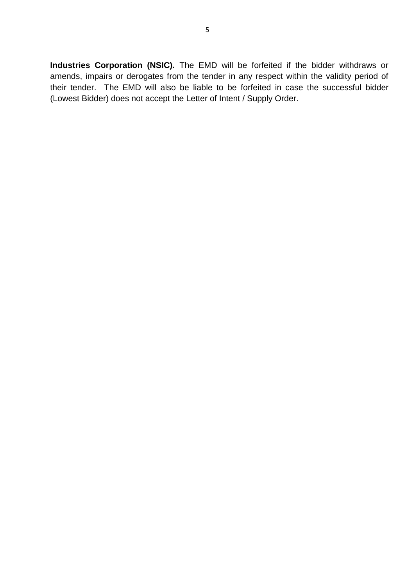**Industries Corporation (NSIC).** The EMD will be forfeited if the bidder withdraws or amends, impairs or derogates from the tender in any respect within the validity period of their tender. The EMD will also be liable to be forfeited in case the successful bidder (Lowest Bidder) does not accept the Letter of Intent / Supply Order.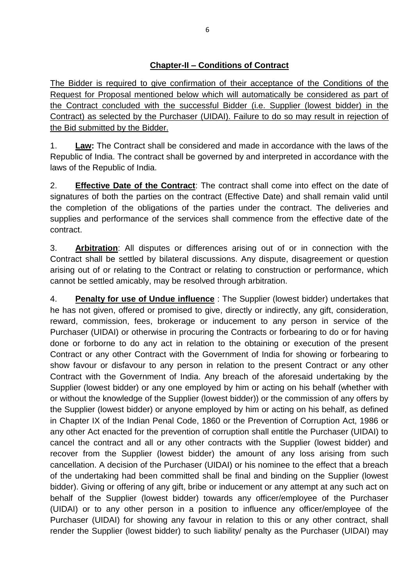The Bidder is required to give confirmation of their acceptance of the Conditions of the Request for Proposal mentioned below which will automatically be considered as part of the Contract concluded with the successful Bidder (i.e. Supplier (lowest bidder) in the Contract) as selected by the Purchaser (UIDAI). Failure to do so may result in rejection of the Bid submitted by the Bidder.

1. **Law:** The Contract shall be considered and made in accordance with the laws of the Republic of India. The contract shall be governed by and interpreted in accordance with the laws of the Republic of India.

2. **Effective Date of the Contract**: The contract shall come into effect on the date of signatures of both the parties on the contract (Effective Date) and shall remain valid until the completion of the obligations of the parties under the contract. The deliveries and supplies and performance of the services shall commence from the effective date of the contract.

3. **Arbitration**: All disputes or differences arising out of or in connection with the Contract shall be settled by bilateral discussions. Any dispute, disagreement or question arising out of or relating to the Contract or relating to construction or performance, which cannot be settled amicably, may be resolved through arbitration.

4. **Penalty for use of Undue influence** : The Supplier (lowest bidder) undertakes that he has not given, offered or promised to give, directly or indirectly, any gift, consideration, reward, commission, fees, brokerage or inducement to any person in service of the Purchaser (UIDAI) or otherwise in procuring the Contracts or forbearing to do or for having done or forborne to do any act in relation to the obtaining or execution of the present Contract or any other Contract with the Government of India for showing or forbearing to show favour or disfavour to any person in relation to the present Contract or any other Contract with the Government of India. Any breach of the aforesaid undertaking by the Supplier (lowest bidder) or any one employed by him or acting on his behalf (whether with or without the knowledge of the Supplier (lowest bidder)) or the commission of any offers by the Supplier (lowest bidder) or anyone employed by him or acting on his behalf, as defined in Chapter IX of the Indian Penal Code, 1860 or the Prevention of Corruption Act, 1986 or any other Act enacted for the prevention of corruption shall entitle the Purchaser (UIDAI) to cancel the contract and all or any other contracts with the Supplier (lowest bidder) and recover from the Supplier (lowest bidder) the amount of any loss arising from such cancellation. A decision of the Purchaser (UIDAI) or his nominee to the effect that a breach of the undertaking had been committed shall be final and binding on the Supplier (lowest bidder). Giving or offering of any gift, bribe or inducement or any attempt at any such act on behalf of the Supplier (lowest bidder) towards any officer/employee of the Purchaser (UIDAI) or to any other person in a position to influence any officer/employee of the Purchaser (UIDAI) for showing any favour in relation to this or any other contract, shall render the Supplier (lowest bidder) to such liability/ penalty as the Purchaser (UIDAI) may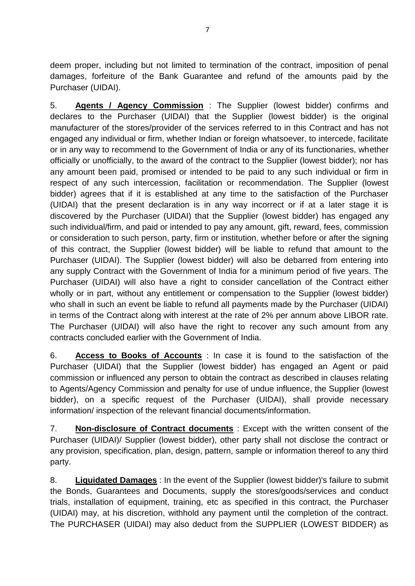deem proper, including but not limited to termination of the contract, imposition of penal damages, forfeiture of the Bank Guarantee and refund of the amounts paid by the Purchaser (UIDAI).

5. **Agents / Agency Commission** : The Supplier (lowest bidder) confirms and declares to the Purchaser (UIDAI) that the Supplier (lowest bidder) is the original manufacturer of the stores/provider of the services referred to in this Contract and has not engaged any individual or firm, whether Indian or foreign whatsoever, to intercede, facilitate or in any way to recommend to the Government of India or any of its functionaries, whether officially or unofficially, to the award of the contract to the Supplier (lowest bidder); nor has any amount been paid, promised or intended to be paid to any such individual or firm in respect of any such intercession, facilitation or recommendation. The Supplier (lowest bidder) agrees that if it is established at any time to the satisfaction of the Purchaser (UIDAI) that the present declaration is in any way incorrect or if at a later stage it is discovered by the Purchaser (UIDAI) that the Supplier (lowest bidder) has engaged any such individual/firm, and paid or intended to pay any amount, gift, reward, fees, commission or consideration to such person, party, firm or institution, whether before or after the signing of this contract, the Supplier (lowest bidder) will be liable to refund that amount to the Purchaser (UIDAI). The Supplier (lowest bidder) will also be debarred from entering into any supply Contract with the Government of India for a minimum period of five years. The Purchaser (UIDAI) will also have a right to consider cancellation of the Contract either wholly or in part, without any entitlement or compensation to the Supplier (lowest bidder) who shall in such an event be liable to refund all payments made by the Purchaser (UIDAI) in terms of the Contract along with interest at the rate of 2% per annum above LIBOR rate. The Purchaser (UIDAI) will also have the right to recover any such amount from any contracts concluded earlier with the Government of India.

6. **Access to Books of Accounts** : In case it is found to the satisfaction of the Purchaser (UIDAI) that the Supplier (lowest bidder) has engaged an Agent or paid commission or influenced any person to obtain the contract as described in clauses relating to Agents/Agency Commission and penalty for use of undue influence, the Supplier (lowest bidder), on a specific request of the Purchaser (UIDAI), shall provide necessary information/ inspection of the relevant financial documents/information.

7. **Non-disclosure of Contract documents** : Except with the written consent of the Purchaser (UIDAI)/ Supplier (lowest bidder), other party shall not disclose the contract or any provision, specification, plan, design, pattern, sample or information thereof to any third party.

8. **Liquidated Damages** : In the event of the Supplier (lowest bidder)'s failure to submit the Bonds, Guarantees and Documents, supply the stores/goods/services and conduct trials, installation of equipment, training, etc as specified in this contract, the Purchaser (UIDAI) may, at his discretion, withhold any payment until the completion of the contract. The PURCHASER (UIDAI) may also deduct from the SUPPLIER (LOWEST BIDDER) as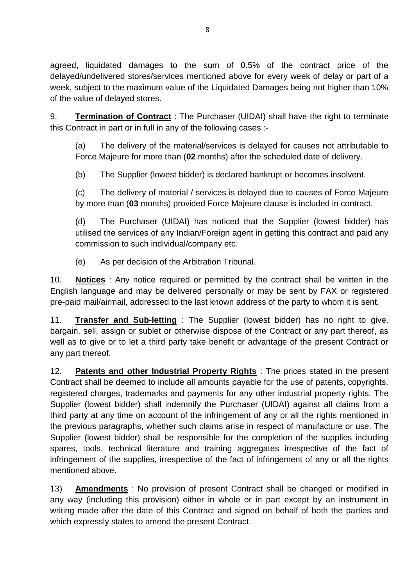agreed, liquidated damages to the sum of 0.5% of the contract price of the delayed/undelivered stores/services mentioned above for every week of delay or part of a week, subject to the maximum value of the Liquidated Damages being not higher than 10% of the value of delayed stores.

9. **Termination of Contract** : The Purchaser (UIDAI) shall have the right to terminate this Contract in part or in full in any of the following cases :-

(a) The delivery of the material/services is delayed for causes not attributable to Force Majeure for more than (**02** months) after the scheduled date of delivery.

(b) The Supplier (lowest bidder) is declared bankrupt or becomes insolvent.

(c) The delivery of material / services is delayed due to causes of Force Majeure by more than (**03** months) provided Force Majeure clause is included in contract.

(d) The Purchaser (UIDAI) has noticed that the Supplier (lowest bidder) has utilised the services of any Indian/Foreign agent in getting this contract and paid any commission to such individual/company etc.

(e) As per decision of the Arbitration Tribunal.

10. **Notices** : Any notice required or permitted by the contract shall be written in the English language and may be delivered personally or may be sent by FAX or registered pre-paid mail/airmail, addressed to the last known address of the party to whom it is sent.

11. **Transfer and Sub-letting** : The Supplier (lowest bidder) has no right to give, bargain, sell, assign or sublet or otherwise dispose of the Contract or any part thereof, as well as to give or to let a third party take benefit or advantage of the present Contract or any part thereof.

12. **Patents and other Industrial Property Rights** : The prices stated in the present Contract shall be deemed to include all amounts payable for the use of patents, copyrights, registered charges, trademarks and payments for any other industrial property rights. The Supplier (lowest bidder) shall indemnify the Purchaser (UIDAI) against all claims from a third party at any time on account of the infringement of any or all the rights mentioned in the previous paragraphs, whether such claims arise in respect of manufacture or use. The Supplier (lowest bidder) shall be responsible for the completion of the supplies including spares, tools, technical literature and training aggregates irrespective of the fact of infringement of the supplies, irrespective of the fact of infringement of any or all the rights mentioned above.

13) **Amendments** : No provision of present Contract shall be changed or modified in any way (including this provision) either in whole or in part except by an instrument in writing made after the date of this Contract and signed on behalf of both the parties and which expressly states to amend the present Contract.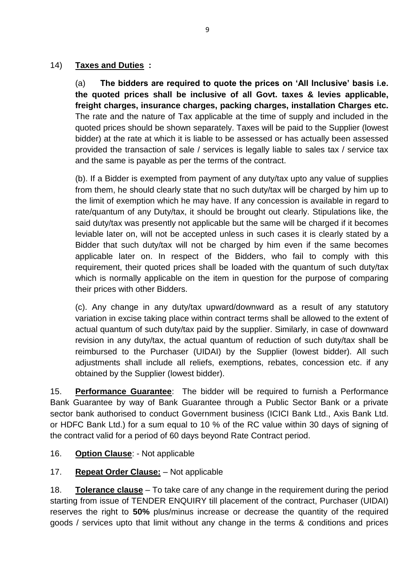## 14) **Taxes and Duties :**

(a) **The bidders are required to quote the prices on 'All Inclusive' basis i.e. the quoted prices shall be inclusive of all Govt. taxes & levies applicable, freight charges, insurance charges, packing charges, installation Charges etc.**  The rate and the nature of Tax applicable at the time of supply and included in the quoted prices should be shown separately. Taxes will be paid to the Supplier (lowest bidder) at the rate at which it is liable to be assessed or has actually been assessed provided the transaction of sale / services is legally liable to sales tax / service tax and the same is payable as per the terms of the contract.

(b). If a Bidder is exempted from payment of any duty/tax upto any value of supplies from them, he should clearly state that no such duty/tax will be charged by him up to the limit of exemption which he may have. If any concession is available in regard to rate/quantum of any Duty/tax, it should be brought out clearly. Stipulations like, the said duty/tax was presently not applicable but the same will be charged if it becomes leviable later on, will not be accepted unless in such cases it is clearly stated by a Bidder that such duty/tax will not be charged by him even if the same becomes applicable later on. In respect of the Bidders, who fail to comply with this requirement, their quoted prices shall be loaded with the quantum of such duty/tax which is normally applicable on the item in question for the purpose of comparing their prices with other Bidders.

(c). Any change in any duty/tax upward/downward as a result of any statutory variation in excise taking place within contract terms shall be allowed to the extent of actual quantum of such duty/tax paid by the supplier. Similarly, in case of downward revision in any duty/tax, the actual quantum of reduction of such duty/tax shall be reimbursed to the Purchaser (UIDAI) by the Supplier (lowest bidder). All such adjustments shall include all reliefs, exemptions, rebates, concession etc. if any obtained by the Supplier (lowest bidder).

15. **Performance Guarantee**: The bidder will be required to furnish a Performance Bank Guarantee by way of Bank Guarantee through a Public Sector Bank or a private sector bank authorised to conduct Government business (ICICI Bank Ltd., Axis Bank Ltd. or HDFC Bank Ltd.) for a sum equal to 10 % of the RC value within 30 days of signing of the contract valid for a period of 60 days beyond Rate Contract period.

16. **Option Clause**: - Not applicable

## 17. **Repeat Order Clause:** – Not applicable

18. **Tolerance clause** – To take care of any change in the requirement during the period starting from issue of TENDER ENQUIRY till placement of the contract, Purchaser (UIDAI) reserves the right to **50%** plus/minus increase or decrease the quantity of the required goods / services upto that limit without any change in the terms & conditions and prices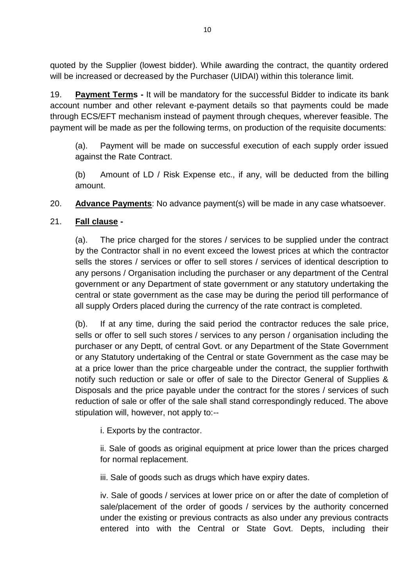quoted by the Supplier (lowest bidder). While awarding the contract, the quantity ordered will be increased or decreased by the Purchaser (UIDAI) within this tolerance limit.

19. **Payment Terms -** It will be mandatory for the successful Bidder to indicate its bank account number and other relevant e-payment details so that payments could be made through ECS/EFT mechanism instead of payment through cheques, wherever feasible. The payment will be made as per the following terms, on production of the requisite documents:

(a). Payment will be made on successful execution of each supply order issued against the Rate Contract.

(b) Amount of LD / Risk Expense etc., if any, will be deducted from the billing amount.

20. **Advance Payments**: No advance payment(s) will be made in any case whatsoever.

## 21. **Fall clause -**

(a). The price charged for the stores / services to be supplied under the contract by the Contractor shall in no event exceed the lowest prices at which the contractor sells the stores / services or offer to sell stores / services of identical description to any persons / Organisation including the purchaser or any department of the Central government or any Department of state government or any statutory undertaking the central or state government as the case may be during the period till performance of all supply Orders placed during the currency of the rate contract is completed.

(b). If at any time, during the said period the contractor reduces the sale price, sells or offer to sell such stores / services to any person / organisation including the purchaser or any Deptt, of central Govt. or any Department of the State Government or any Statutory undertaking of the Central or state Government as the case may be at a price lower than the price chargeable under the contract, the supplier forthwith notify such reduction or sale or offer of sale to the Director General of Supplies & Disposals and the price payable under the contract for the stores / services of such reduction of sale or offer of the sale shall stand correspondingly reduced. The above stipulation will, however, not apply to:--

i. Exports by the contractor.

ii. Sale of goods as original equipment at price lower than the prices charged for normal replacement.

iii. Sale of goods such as drugs which have expiry dates.

iv. Sale of goods / services at lower price on or after the date of completion of sale/placement of the order of goods / services by the authority concerned under the existing or previous contracts as also under any previous contracts entered into with the Central or State Govt. Depts, including their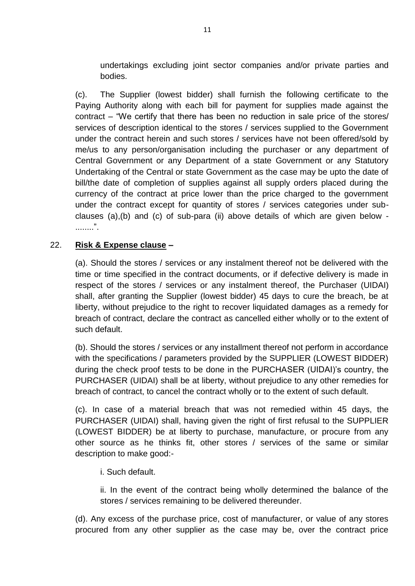undertakings excluding joint sector companies and/or private parties and bodies.

(c). The Supplier (lowest bidder) shall furnish the following certificate to the Paying Authority along with each bill for payment for supplies made against the contract – "We certify that there has been no reduction in sale price of the stores/ services of description identical to the stores / services supplied to the Government under the contract herein and such stores / services have not been offered/sold by me/us to any person/organisation including the purchaser or any department of Central Government or any Department of a state Government or any Statutory Undertaking of the Central or state Government as the case may be upto the date of bill/the date of completion of supplies against all supply orders placed during the currency of the contract at price lower than the price charged to the government under the contract except for quantity of stores / services categories under subclauses (a),(b) and (c) of sub-para (ii) above details of which are given below - ........".

#### 22. **Risk & Expense clause –**

(a). Should the stores / services or any instalment thereof not be delivered with the time or time specified in the contract documents, or if defective delivery is made in respect of the stores / services or any instalment thereof, the Purchaser (UIDAI) shall, after granting the Supplier (lowest bidder) 45 days to cure the breach, be at liberty, without prejudice to the right to recover liquidated damages as a remedy for breach of contract, declare the contract as cancelled either wholly or to the extent of such default.

(b). Should the stores / services or any installment thereof not perform in accordance with the specifications / parameters provided by the SUPPLIER (LOWEST BIDDER) during the check proof tests to be done in the PURCHASER (UIDAI)'s country, the PURCHASER (UIDAI) shall be at liberty, without prejudice to any other remedies for breach of contract, to cancel the contract wholly or to the extent of such default.

(c). In case of a material breach that was not remedied within 45 days, the PURCHASER (UIDAI) shall, having given the right of first refusal to the SUPPLIER (LOWEST BIDDER) be at liberty to purchase, manufacture, or procure from any other source as he thinks fit, other stores / services of the same or similar description to make good:-

#### i. Such default.

ii. In the event of the contract being wholly determined the balance of the stores / services remaining to be delivered thereunder.

(d). Any excess of the purchase price, cost of manufacturer, or value of any stores procured from any other supplier as the case may be, over the contract price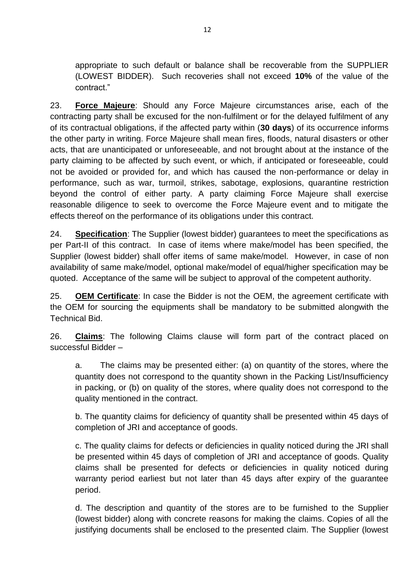appropriate to such default or balance shall be recoverable from the SUPPLIER (LOWEST BIDDER). Such recoveries shall not exceed **10%** of the value of the contract."

23. **Force Majeure**: Should any Force Majeure circumstances arise, each of the contracting party shall be excused for the non-fulfilment or for the delayed fulfilment of any of its contractual obligations, if the affected party within (**30 days**) of its occurrence informs the other party in writing. Force Majeure shall mean fires, floods, natural disasters or other acts, that are unanticipated or unforeseeable, and not brought about at the instance of the party claiming to be affected by such event, or which, if anticipated or foreseeable, could not be avoided or provided for, and which has caused the non-performance or delay in performance, such as war, turmoil, strikes, sabotage, explosions, quarantine restriction beyond the control of either party. A party claiming Force Majeure shall exercise reasonable diligence to seek to overcome the Force Majeure event and to mitigate the effects thereof on the performance of its obligations under this contract.

24. **Specification**: The Supplier (lowest bidder) guarantees to meet the specifications as per Part-II of this contract. In case of items where make/model has been specified, the Supplier (lowest bidder) shall offer items of same make/model. However, in case of non availability of same make/model, optional make/model of equal/higher specification may be quoted. Acceptance of the same will be subject to approval of the competent authority.

25. **OEM Certificate**: In case the Bidder is not the OEM, the agreement certificate with the OEM for sourcing the equipments shall be mandatory to be submitted alongwith the Technical Bid.

26. **Claims**: The following Claims clause will form part of the contract placed on successful Bidder –

a. The claims may be presented either: (a) on quantity of the stores, where the quantity does not correspond to the quantity shown in the Packing List/Insufficiency in packing, or (b) on quality of the stores, where quality does not correspond to the quality mentioned in the contract.

b. The quantity claims for deficiency of quantity shall be presented within 45 days of completion of JRI and acceptance of goods.

c. The quality claims for defects or deficiencies in quality noticed during the JRI shall be presented within 45 days of completion of JRI and acceptance of goods. Quality claims shall be presented for defects or deficiencies in quality noticed during warranty period earliest but not later than 45 days after expiry of the guarantee period.

d. The description and quantity of the stores are to be furnished to the Supplier (lowest bidder) along with concrete reasons for making the claims. Copies of all the justifying documents shall be enclosed to the presented claim. The Supplier (lowest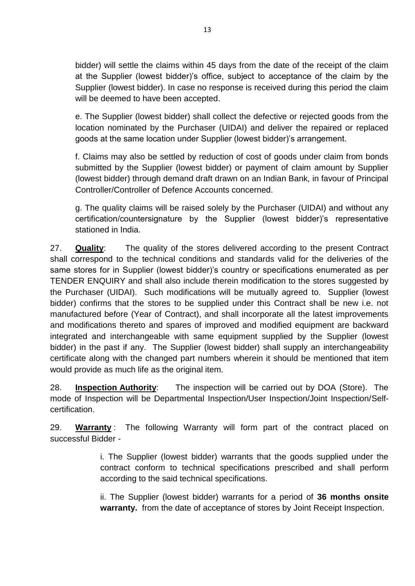bidder) will settle the claims within 45 days from the date of the receipt of the claim at the Supplier (lowest bidder)'s office, subject to acceptance of the claim by the Supplier (lowest bidder). In case no response is received during this period the claim will be deemed to have been accepted.

e. The Supplier (lowest bidder) shall collect the defective or rejected goods from the location nominated by the Purchaser (UIDAI) and deliver the repaired or replaced goods at the same location under Supplier (lowest bidder)'s arrangement.

f. Claims may also be settled by reduction of cost of goods under claim from bonds submitted by the Supplier (lowest bidder) or payment of claim amount by Supplier (lowest bidder) through demand draft drawn on an Indian Bank, in favour of Principal Controller/Controller of Defence Accounts concerned.

g. The quality claims will be raised solely by the Purchaser (UIDAI) and without any certification/countersignature by the Supplier (lowest bidder)'s representative stationed in India.

27. **Quality**: The quality of the stores delivered according to the present Contract shall correspond to the technical conditions and standards valid for the deliveries of the same stores for in Supplier (lowest bidder)'s country or specifications enumerated as per TENDER ENQUIRY and shall also include therein modification to the stores suggested by the Purchaser (UIDAI). Such modifications will be mutually agreed to. Supplier (lowest bidder) confirms that the stores to be supplied under this Contract shall be new i.e. not manufactured before (Year of Contract), and shall incorporate all the latest improvements and modifications thereto and spares of improved and modified equipment are backward integrated and interchangeable with same equipment supplied by the Supplier (lowest bidder) in the past if any. The Supplier (lowest bidder) shall supply an interchangeability certificate along with the changed part numbers wherein it should be mentioned that item would provide as much life as the original item.

28. **Inspection Authority**: The inspection will be carried out by DOA (Store). The mode of Inspection will be Departmental Inspection/User Inspection/Joint Inspection/Selfcertification.

29. **Warranty** : The following Warranty will form part of the contract placed on successful Bidder -

> i. The Supplier (lowest bidder) warrants that the goods supplied under the contract conform to technical specifications prescribed and shall perform according to the said technical specifications.

> ii. The Supplier (lowest bidder) warrants for a period of **36 months onsite warranty.** from the date of acceptance of stores by Joint Receipt Inspection.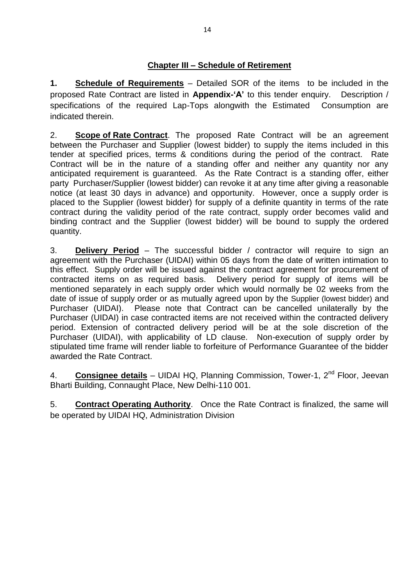**1. Schedule of Requirements** – Detailed SOR of the items to be included in the proposed Rate Contract are listed in **Appendix-'A'** to this tender enquiry. Description / specifications of the required Lap-Tops alongwith the Estimated Consumption are indicated therein.

2. **Scope of Rate Contract**. The proposed Rate Contract will be an agreement between the Purchaser and Supplier (lowest bidder) to supply the items included in this tender at specified prices, terms & conditions during the period of the contract. Rate Contract will be in the nature of a standing offer and neither any quantity nor any anticipated requirement is guaranteed. As the Rate Contract is a standing offer, either party Purchaser/Supplier (lowest bidder) can revoke it at any time after giving a reasonable notice (at least 30 days in advance) and opportunity. However, once a supply order is placed to the Supplier (lowest bidder) for supply of a definite quantity in terms of the rate contract during the validity period of the rate contract, supply order becomes valid and binding contract and the Supplier (lowest bidder) will be bound to supply the ordered quantity.

3. **Delivery Period** – The successful bidder / contractor will require to sign an agreement with the Purchaser (UIDAI) within 05 days from the date of written intimation to this effect. Supply order will be issued against the contract agreement for procurement of contracted items on as required basis. Delivery period for supply of items will be mentioned separately in each supply order which would normally be 02 weeks from the date of issue of supply order or as mutually agreed upon by the Supplier (lowest bidder) and Purchaser (UIDAI). Please note that Contract can be cancelled unilaterally by the Purchaser (UIDAI) in case contracted items are not received within the contracted delivery period. Extension of contracted delivery period will be at the sole discretion of the Purchaser (UIDAI), with applicability of LD clause. Non-execution of supply order by stipulated time frame will render liable to forfeiture of Performance Guarantee of the bidder awarded the Rate Contract.

4. **Consignee details** – UIDAI HQ, Planning Commission, Tower-1, 2nd Floor, Jeevan Bharti Building, Connaught Place, New Delhi-110 001.

5. **Contract Operating Authority**. Once the Rate Contract is finalized, the same will be operated by UIDAI HQ, Administration Division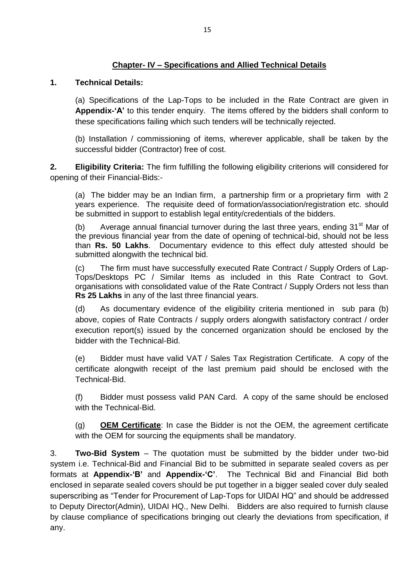#### **Chapter- IV – Specifications and Allied Technical Details**

#### **1. Technical Details:**

(a) Specifications of the Lap-Tops to be included in the Rate Contract are given in **Appendix-'A'** to this tender enquiry. The items offered by the bidders shall conform to these specifications failing which such tenders will be technically rejected.

(b) Installation / commissioning of items, wherever applicable, shall be taken by the successful bidder (Contractor) free of cost.

**2. Eligibility Criteria:** The firm fulfilling the following eligibility criterions will considered for opening of their Financial-Bids:-

(a) The bidder may be an Indian firm, a partnership firm or a proprietary firm with 2 years experience. The requisite deed of formation/association/registration etc. should be submitted in support to establish legal entity/credentials of the bidders.

(b) Average annual financial turnover during the last three years, ending  $31<sup>st</sup>$  Mar of the previous financial year from the date of opening of technical-bid, should not be less than **Rs. 50 Lakhs**. Documentary evidence to this effect duly attested should be submitted alongwith the technical bid.

(c) The firm must have successfully executed Rate Contract / Supply Orders of Lap-Tops/Desktops PC / Similar Items as included in this Rate Contract to Govt. organisations with consolidated value of the Rate Contract / Supply Orders not less than **Rs 25 Lakhs** in any of the last three financial years.

(d) As documentary evidence of the eligibility criteria mentioned in sub para (b) above, copies of Rate Contracts / supply orders alongwith satisfactory contract / order execution report(s) issued by the concerned organization should be enclosed by the bidder with the Technical-Bid.

(e) Bidder must have valid VAT / Sales Tax Registration Certificate. A copy of the certificate alongwith receipt of the last premium paid should be enclosed with the Technical-Bid.

(f) Bidder must possess valid PAN Card. A copy of the same should be enclosed with the Technical-Bid.

(g) **OEM Certificate**: In case the Bidder is not the OEM, the agreement certificate with the OEM for sourcing the equipments shall be mandatory.

3. **Two-Bid System** – The quotation must be submitted by the bidder under two-bid system i.e. Technical-Bid and Financial Bid to be submitted in separate sealed covers as per formats at **Appendix-'B'** and **Appendix-'C'**. The Technical Bid and Financial Bid both enclosed in separate sealed covers should be put together in a bigger sealed cover duly sealed superscribing as "Tender for Procurement of Lap-Tops for UIDAI HQ" and should be addressed to Deputy Director(Admin), UIDAI HQ., New Delhi. Bidders are also required to furnish clause by clause compliance of specifications bringing out clearly the deviations from specification, if any.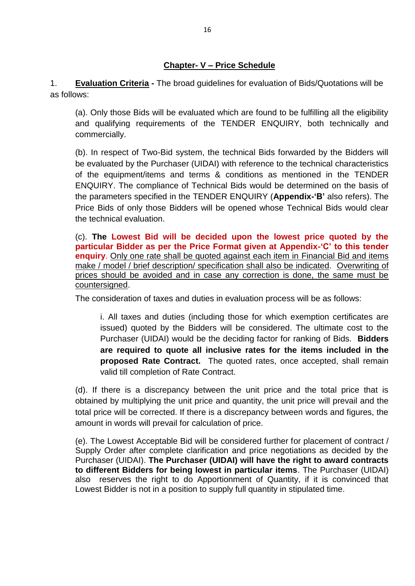#### **Chapter- V – Price Schedule**

1. **Evaluation Criteria -** The broad guidelines for evaluation of Bids/Quotations will be as follows:

(a). Only those Bids will be evaluated which are found to be fulfilling all the eligibility and qualifying requirements of the TENDER ENQUIRY, both technically and commercially.

(b). In respect of Two-Bid system, the technical Bids forwarded by the Bidders will be evaluated by the Purchaser (UIDAI) with reference to the technical characteristics of the equipment/items and terms & conditions as mentioned in the TENDER ENQUIRY. The compliance of Technical Bids would be determined on the basis of the parameters specified in the TENDER ENQUIRY (**Appendix-'B'** also refers). The Price Bids of only those Bidders will be opened whose Technical Bids would clear the technical evaluation.

(c). **The Lowest Bid will be decided upon the lowest price quoted by the particular Bidder as per the Price Format given at Appendix-'C' to this tender enquiry**. Only one rate shall be quoted against each item in Financial Bid and items make / model / brief description/ specification shall also be indicated. Overwriting of prices should be avoided and in case any correction is done, the same must be countersigned.

The consideration of taxes and duties in evaluation process will be as follows:

i. All taxes and duties (including those for which exemption certificates are issued) quoted by the Bidders will be considered. The ultimate cost to the Purchaser (UIDAI) would be the deciding factor for ranking of Bids. **Bidders are required to quote all inclusive rates for the items included in the proposed Rate Contract.** The quoted rates, once accepted, shall remain valid till completion of Rate Contract.

(d). If there is a discrepancy between the unit price and the total price that is obtained by multiplying the unit price and quantity, the unit price will prevail and the total price will be corrected. If there is a discrepancy between words and figures, the amount in words will prevail for calculation of price.

(e). The Lowest Acceptable Bid will be considered further for placement of contract / Supply Order after complete clarification and price negotiations as decided by the Purchaser (UIDAI). **The Purchaser (UIDAI) will have the right to award contracts to different Bidders for being lowest in particular items**. The Purchaser (UIDAI) also reserves the right to do Apportionment of Quantity, if it is convinced that Lowest Bidder is not in a position to supply full quantity in stipulated time.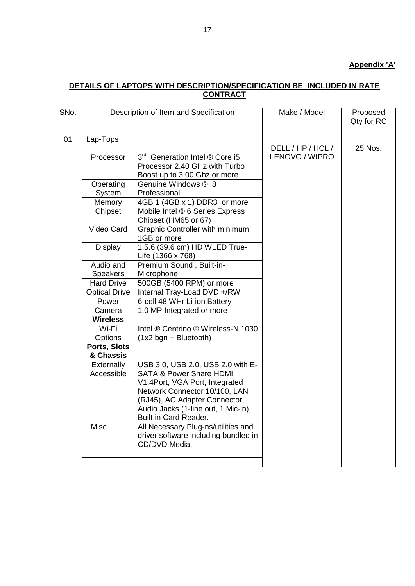#### **Appendix 'A'**

#### **DETAILS OF LAPTOPS WITH DESCRIPTION/SPECIFICATION BE INCLUDED IN RATE CONTRACT**

| SNo. |                           | Description of Item and Specification                                                                                                                                                                                                       | Make / Model      | Proposed<br>Qty for RC |  |  |
|------|---------------------------|---------------------------------------------------------------------------------------------------------------------------------------------------------------------------------------------------------------------------------------------|-------------------|------------------------|--|--|
| 01   | Lap-Tops                  |                                                                                                                                                                                                                                             | DELL / HP / HCL / | 25 Nos.                |  |  |
|      | Processor                 | 3 <sup>rd</sup> Generation Intel ® Core i5<br>Processor 2.40 GHz with Turbo<br>Boost up to 3.00 Ghz or more                                                                                                                                 | LENOVO / WIPRO    |                        |  |  |
|      | Operating<br>System       | Genuine Windows ® 8<br>Professional                                                                                                                                                                                                         |                   |                        |  |  |
|      | Memory                    | 4GB 1 (4GB x 1) DDR3 or more                                                                                                                                                                                                                |                   |                        |  |  |
|      | Chipset                   | Mobile Intel ® 6 Series Express<br>Chipset (HM65 or 67)                                                                                                                                                                                     |                   |                        |  |  |
|      | Video Card                | Graphic Controller with minimum<br>1GB or more                                                                                                                                                                                              |                   |                        |  |  |
|      | Display                   | 1.5.6 (39.6 cm) HD WLED True-<br>Life (1366 x 768)                                                                                                                                                                                          |                   |                        |  |  |
|      | Audio and                 | Premium Sound, Built-in-                                                                                                                                                                                                                    |                   |                        |  |  |
|      | <b>Speakers</b>           | Microphone                                                                                                                                                                                                                                  |                   |                        |  |  |
|      | <b>Hard Drive</b>         | 500GB (5400 RPM) or more                                                                                                                                                                                                                    |                   |                        |  |  |
|      | <b>Optical Drive</b>      | Internal Tray-Load DVD +/RW                                                                                                                                                                                                                 |                   |                        |  |  |
|      | Power                     | 6-cell 48 WHr Li-ion Battery                                                                                                                                                                                                                |                   |                        |  |  |
|      | Camera                    | 1.0 MP Integrated or more                                                                                                                                                                                                                   |                   |                        |  |  |
|      | <b>Wireless</b>           |                                                                                                                                                                                                                                             |                   |                        |  |  |
|      | Wi-Fi                     | Intel ® Centrino ® Wireless-N 1030                                                                                                                                                                                                          |                   |                        |  |  |
|      | Options                   | (1x2 bgn + Bluetooth)                                                                                                                                                                                                                       |                   |                        |  |  |
|      | Ports, Slots<br>& Chassis |                                                                                                                                                                                                                                             |                   |                        |  |  |
|      | Externally<br>Accessible  | USB 3.0, USB 2.0, USB 2.0 with E-<br><b>SATA &amp; Power Share HDMI</b><br>V1.4Port, VGA Port, Integrated<br>Network Connector 10/100, LAN<br>(RJ45), AC Adapter Connector,<br>Audio Jacks (1-line out, 1 Mic-in),<br>Built in Card Reader. |                   |                        |  |  |
|      | <b>Misc</b>               | All Necessary Plug-ns/utilities and<br>driver software including bundled in<br>CD/DVD Media.                                                                                                                                                |                   |                        |  |  |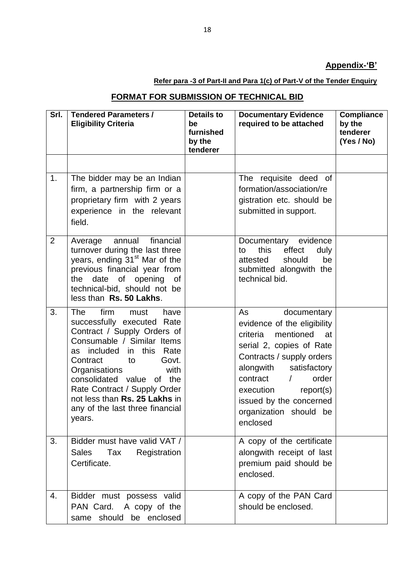## **Appendix-'B'**

## **Refer para -3 of Part-II and Para 1(c) of Part-V of the Tender Enquiry**

# **FORMAT FOR SUBMISSION OF TECHNICAL BID**

| Srl.           | <b>Tendered Parameters /</b><br><b>Eligibility Criteria</b>                                                                                                                                                                                                                                                                                                 | <b>Details to</b><br>be<br>furnished<br>by the<br>tenderer | <b>Documentary Evidence</b><br>required to be attached                                                                                                                                                                                                                                            | <b>Compliance</b><br>by the<br>tenderer<br>(Yes / No) |
|----------------|-------------------------------------------------------------------------------------------------------------------------------------------------------------------------------------------------------------------------------------------------------------------------------------------------------------------------------------------------------------|------------------------------------------------------------|---------------------------------------------------------------------------------------------------------------------------------------------------------------------------------------------------------------------------------------------------------------------------------------------------|-------------------------------------------------------|
|                |                                                                                                                                                                                                                                                                                                                                                             |                                                            |                                                                                                                                                                                                                                                                                                   |                                                       |
| 1.             | The bidder may be an Indian<br>firm, a partnership firm or a<br>proprietary firm with 2 years<br>experience in the relevant<br>field.                                                                                                                                                                                                                       |                                                            | The requisite deed of<br>formation/association/re<br>gistration etc. should be<br>submitted in support.                                                                                                                                                                                           |                                                       |
| $\overline{2}$ | financial<br>annual<br>Average<br>turnover during the last three<br>years, ending 31 <sup>st</sup> Mar of the<br>previous financial year from<br>the date of opening of<br>technical-bid, should not be<br>less than Rs. 50 Lakhs.                                                                                                                          |                                                            | Documentary evidence<br>effect<br>this<br>to<br>duly<br>attested<br>should<br>be<br>submitted alongwith the<br>technical bid.                                                                                                                                                                     |                                                       |
| 3.             | <b>The</b><br>firm<br>must<br>have<br>successfully executed Rate<br>Contract / Supply Orders of<br>Consumable / Similar Items<br>as included in this<br>Rate<br>Contract<br>Govt.<br>to<br>Organisations<br>with<br>consolidated value of the<br>Rate Contract / Supply Order<br>not less than Rs. 25 Lakhs in<br>any of the last three financial<br>years. |                                                            | documentary<br>As<br>evidence of the eligibility<br>criteria<br>mentioned<br>at<br>serial 2, copies of Rate<br>Contracts / supply orders<br>alongwith<br>satisfactory<br>contract<br>order<br>$\prime$<br>report(s)<br>execution<br>issued by the concerned<br>organization should be<br>enclosed |                                                       |
| 3.             | Bidder must have valid VAT /<br>Tax<br><b>Sales</b><br>Registration<br>Certificate.                                                                                                                                                                                                                                                                         |                                                            | A copy of the certificate<br>alongwith receipt of last<br>premium paid should be<br>enclosed.                                                                                                                                                                                                     |                                                       |
| 4.             | Bidder must possess valid<br>PAN Card. A copy of the<br>same should be enclosed                                                                                                                                                                                                                                                                             |                                                            | A copy of the PAN Card<br>should be enclosed.                                                                                                                                                                                                                                                     |                                                       |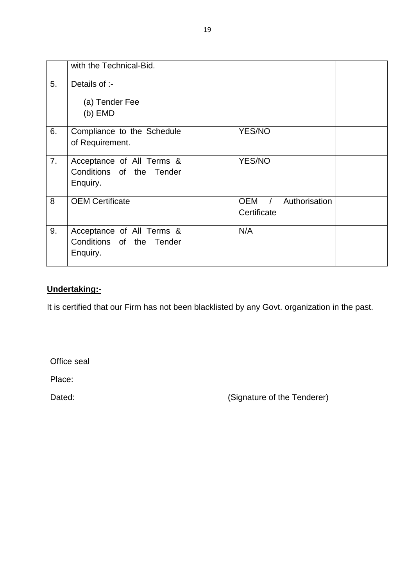|    | with the Technical-Bid.                                           |                                                        |  |
|----|-------------------------------------------------------------------|--------------------------------------------------------|--|
| 5. | Details of :-                                                     |                                                        |  |
|    | (a) Tender Fee<br>$(b)$ EMD                                       |                                                        |  |
| 6. | Compliance to the Schedule<br>of Requirement.                     | <b>YES/NO</b>                                          |  |
| 7. | Acceptance of All Terms &<br>Conditions of the Tender<br>Enquiry. | YES/NO                                                 |  |
| 8  | <b>OEM Certificate</b>                                            | <b>OEM</b><br>Authorisation<br>$\prime$<br>Certificate |  |
| 9. | Acceptance of All Terms &<br>Conditions of the Tender<br>Enquiry. | N/A                                                    |  |

## **Undertaking:-**

It is certified that our Firm has not been blacklisted by any Govt. organization in the past.

Office seal

Place:

Dated: Case Contract Contract Contract Contract Contract Contract Contract Contract Contract Contract Contract Contract Contract Contract Contract Contract Contract Contract Contract Contract Contract Contract Contract Con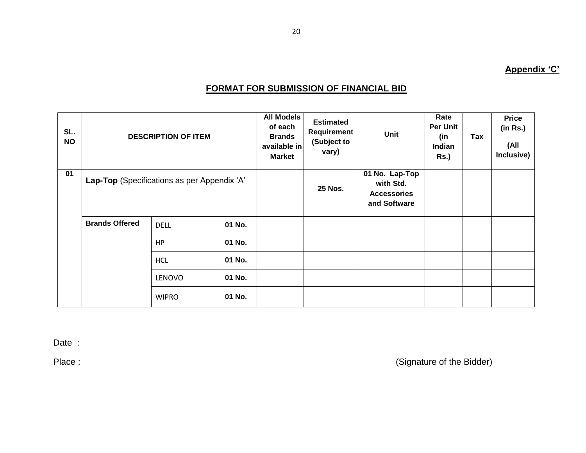# **FORMAT FOR SUBMISSION OF FINANCIAL BID**

| SL.<br><b>NO</b> | <b>DESCRIPTION OF ITEM</b>                  |               |        | <b>All Models</b><br>of each<br><b>Brands</b><br>available in<br><b>Market</b> | <b>Estimated</b><br>Requirement<br>(Subject to<br>vary)           | <b>Unit</b> | Rate<br><b>Per Unit</b><br>(in<br><b>Indian</b><br><b>Rs.)</b> | Tax | <b>Price</b><br>(in Rs.)<br>(All<br>Inclusive) |
|------------------|---------------------------------------------|---------------|--------|--------------------------------------------------------------------------------|-------------------------------------------------------------------|-------------|----------------------------------------------------------------|-----|------------------------------------------------|
| 01               | Lap-Top (Specifications as per Appendix 'A' |               |        | <b>25 Nos.</b>                                                                 | 01 No. Lap-Top<br>with Std.<br><b>Accessories</b><br>and Software |             |                                                                |     |                                                |
|                  | <b>Brands Offered</b>                       | <b>DELL</b>   | 01 No. |                                                                                |                                                                   |             |                                                                |     |                                                |
|                  |                                             | <b>HP</b>     | 01 No. |                                                                                |                                                                   |             |                                                                |     |                                                |
|                  |                                             | <b>HCL</b>    | 01 No. |                                                                                |                                                                   |             |                                                                |     |                                                |
|                  |                                             | <b>LENOVO</b> | 01 No. |                                                                                |                                                                   |             |                                                                |     |                                                |
|                  |                                             | <b>WIPRO</b>  | 01 No. |                                                                                |                                                                   |             |                                                                |     |                                                |

Date :

Place : (Signature of the Bidder)